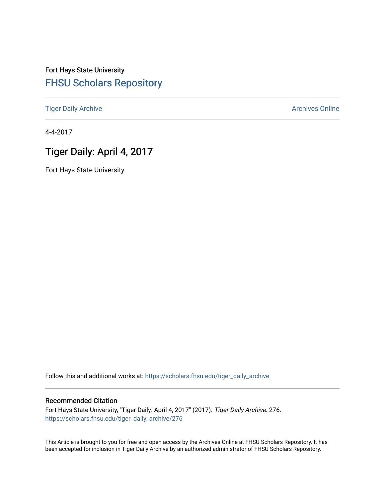# Fort Hays State University [FHSU Scholars Repository](https://scholars.fhsu.edu/)

[Tiger Daily Archive](https://scholars.fhsu.edu/tiger_daily_archive) **Archives** Online Archives Online

4-4-2017

# Tiger Daily: April 4, 2017

Fort Hays State University

Follow this and additional works at: [https://scholars.fhsu.edu/tiger\\_daily\\_archive](https://scholars.fhsu.edu/tiger_daily_archive?utm_source=scholars.fhsu.edu%2Ftiger_daily_archive%2F276&utm_medium=PDF&utm_campaign=PDFCoverPages)

## Recommended Citation

Fort Hays State University, "Tiger Daily: April 4, 2017" (2017). Tiger Daily Archive. 276. [https://scholars.fhsu.edu/tiger\\_daily\\_archive/276](https://scholars.fhsu.edu/tiger_daily_archive/276?utm_source=scholars.fhsu.edu%2Ftiger_daily_archive%2F276&utm_medium=PDF&utm_campaign=PDFCoverPages)

This Article is brought to you for free and open access by the Archives Online at FHSU Scholars Repository. It has been accepted for inclusion in Tiger Daily Archive by an authorized administrator of FHSU Scholars Repository.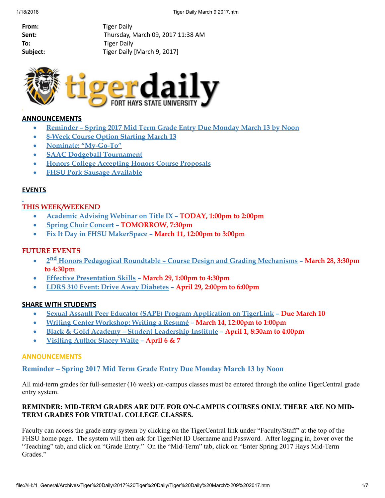From: Tiger Daily Sent: Thursday, March 09, 2017 11:38 AM To: Tiger Daily Subject: Tiger Daily [March 9, 2017]



## ANNOUNCEMENTS

- [Reminder](#page-1-0) Spring 2017 Mid Term Grade Entry Due Monday March 13 by Noon
- · 8-Week Course Option [Starting](#page-2-0) March 13
- · Nominate: ["My-Go-To"](#page-2-1)
- · SAAC Dodgeball [Tournament](#page-2-2)
- · Honors College [Accepting](#page-2-3) Honors Course Proposals
- **FHSU Pork Sausage [Available](#page-3-0)**

## **EVENTS**

## THIS WEEK/WEEKEND

- · [Academic](#page-3-1) Advising Webinar on Title IX TODAY, 1:00pm to 2:00pm
- · Spring Choir [Concert](#page-4-0) TOMORROW, 7:30pm
- Fix It Day in FHSU [MakerSpace](#page-4-1) March 11, 12:00pm to 3:00pm

## FUTURE EVENTS

- 2<sup>nd</sup> Honors Pedagogical Roundtable Course Design and Grading [Mechanisms](#page-4-2) March 28, 3:30pm to 4:30pm
- · Effective [Presentation](#page-5-0) Skills March 29, 1:00pm to 4:30pm
- · LDRS 310 Event: Drive Away [Diabetes](#page-5-1) April 29, 2:00pm to 6:00pm

## SHARE WITH STUDENTS

- · Sexual Assault Peer Educator (SAPE) Program [Application](#page-5-2) on TigerLink Due March 10
- · Writing Center [Workshop:](#page-6-0) Writing a Resumé March 14, 12:00pm to 1:00pm
- · Black & Gold Academy Student [Leadership](#page-6-1) Institute April 1, 8:30am to 4:00pm
- [Visiting](#page-6-2) Author Stacey Waite April 6 & 7

## ANNOUNCEMENTS

## <span id="page-1-0"></span>Reminder – Spring 2017 Mid Term Grade Entry Due Monday March 13 by Noon

All mid-term grades for full-semester (16 week) on-campus classes must be entered through the online TigerCentral grade entry system.

## REMINDER: MID-TERM GRADES ARE DUE FOR ON-CAMPUS COURSES ONLY. THERE ARE NO MID-TERM GRADES FOR VIRTUAL COLLEGE CLASSES.

Faculty can access the grade entry system by clicking on the TigerCentral link under "Faculty/Staff" at the top of the FHSU home page. The system will then ask for TigerNet ID Username and Password. After logging in, hover over the "Teaching" tab, and click on "Grade Entry." On the "Mid-Term" tab, click on "Enter Spring 2017 Hays Mid-Term Grades."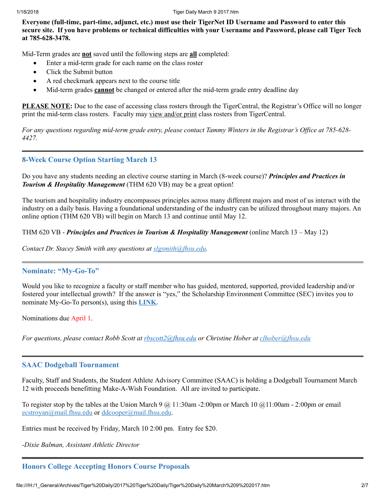Everyone (full-time, part-time, adjunct, etc.) must use their TigerNet ID Username and Password to enter this secure site. If you have problems or technical difficulties with your Username and Password, please call Tiger Tech at 785-628-3478.

Mid-Term grades are **not** saved until the following steps are **all** completed:

- · Enter a mid-term grade for each name on the class roster
- Click the Submit button
- · A red checkmark appears next to the course title
- Mid-term grades **cannot** be changed or entered after the mid-term grade entry deadline day

PLEASE NOTE: Due to the ease of accessing class rosters through the TigerCentral, the Registrar's Office will no longer print the mid-term class rosters. Faculty may view and/or print class rosters from TigerCentral.

For any questions regarding mid-term grade entry, please contact Tammy Winters in the Registrar's Office at 785-628-*4427.*

## <span id="page-2-0"></span>8-Week Course Option Starting March 13

Do you have any students needing an elective course starting in March (8-week course)? *Principles and Practices in Tourism & Hospitality Management* (THM 620 VB) may be a great option!

The tourism and hospitality industry encompasses principles across many different majors and most of us interact with the industry on a daily basis. Having a foundational understanding of the industry can be utilized throughout many majors. An online option (THM 620 VB) will begin on March 13 and continue until May 12.

## THM 620 VB - *Principles and Practices in Tourism & Hospitality Management* (online March 13 – May 12)

*Contact Dr. Stacey Smith with any questions at [slgsmith@fhsu.edu.](mailto:slgsmith@fhsu.edu)*

## <span id="page-2-1"></span>Nominate: "My-Go-To"

Would you like to recognize a faculty or staff member who has guided, mentored, supported, provided leadership and/or fostered your intellectual growth? If the answer is "yes," the Scholarship Environment Committee (SEC) invites you to nominate My-Go-To person(s), using this **[LINK.](https://goo.gl/forms/uHhpbOcyfJ0G0XFB3)** 

Nominations due April 1.

*For questions, please contact Robb Scott at [rbscott2@fhsu.edu](mailto:rbscott2@fhsu.edu) or Christine Hober at [clhober@fhsu.edu](mailto:clhober@fhsu.edu)*

## <span id="page-2-2"></span>SAAC Dodgeball Tournament

Faculty, Staff and Students, the Student Athlete Advisory Committee (SAAC) is holding a Dodgeball Tournament March 12 with proceeds benefitting Make-A-Wish Foundation. All are invited to participate.

To register stop by the tables at the Union March 9  $\omega$  11:30am -2:00pm or March 10  $\omega$ 11:00am - 2:00pm or email [ecstroyan@mail.fhsu.edu](mailto:ecstroyan@mail.fhsu.edu) or [ddcooper@mail.fhsu.edu.](mailto:ddcooper@mail.fhsu.edu)

Entries must be received by Friday, March 10 2:00 pm. Entry fee \$20.

*-Dixie Balman, Assistant Athletic Director*

## <span id="page-2-3"></span>Honors College Accepting Honors Course Proposals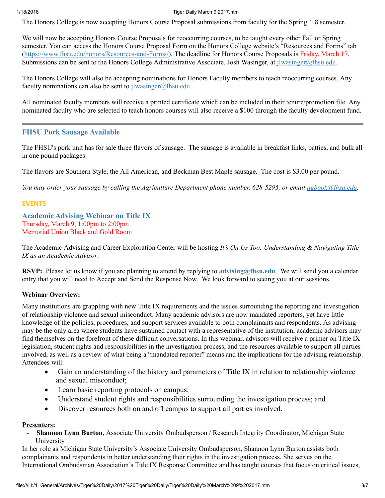#### 1/18/2018 Tiger Daily March 9 2017.htm

The Honors College is now accepting Honors Course Proposal submissions from faculty for the Spring '18 semester.

We will now be accepting Honors Course Proposals for reoccurring courses, to be taught every other Fall or Spring semester. You can access the Honors Course Proposal Form on the Honors College website's "Resources and Forms" tab (<https://www.fhsu.edu/honors/Resources-and-Forms/>). The deadline for Honors Course Proposals is Friday, March 17. Submissions can be sent to the Honors College Administrative Associate, Josh Wasinger, at *[jlwasinger@fhsu.edu](mailto:jlwasinger@fhsu.edu).* 

The Honors College will also be accepting nominations for Honors Faculty members to teach reoccurring courses. Any faculty nominations can also be sent to  $j$ lwasinger@fhsu.edu.

All nominated faculty members will receive a printed certificate which can be included in their tenure/promotion file. Any nominated faculty who are selected to teach honors courses will also receive a \$100 through the faculty development fund.

## <span id="page-3-0"></span>FHSU Pork Sausage Available

The FHSU's pork unit has for sale three flavors of sausage. The sausage is available in breakfast links, patties, and bulk all in one pound packages.

The flavors are Southern Style, the All American, and Beckman Best Maple sausage. The cost is \$3.00 per pound.

You may order your sausage by calling the Agriculture Department phone number, 628-5295, or email [agbook@fhsu.edu.](mailto:agbook@fhsu.edu)

## EVENTS

<span id="page-3-1"></span>Academic Advising Webinar on Title IX Thursday, March 9, 1:00pm to 2:00pm Memorial Union Black and Gold Room

The Academic Advising and Career Exploration Center will be hosting *It's On Us Too: Understanding & Navigating Title IX as an Academic Advisor*.

RSVP: Please let us know if you are planning to attend by replying to **[advising@fhsu.edu](mailto:advising@fhsu.edu)**. We will send you a calendar entry that you will need to Accept and Send the Response Now. We look forward to seeing you at our sessions.

## Webinar Overview:

Many institutions are grappling with new Title IX requirements and the issues surrounding the reporting and investigation of relationship violence and sexual misconduct. Many academic advisors are now mandated reporters, yet have little knowledge of the policies, procedures, and support services available to both complainants and respondents. As advising may be the only area where students have sustained contact with a representative of the institution, academic advisors may find themselves on the forefront of these difficult conversations. In this webinar, advisors will receive a primer on Title IX legislation, student rights and responsibilities in the investigation process, and the resources available to support all parties involved, as well as a review of what being a "mandated reporter" means and the implications for the advising relationship. Attendees will:

- Gain an understanding of the history and parameters of Title IX in relation to relationship violence and sexual misconduct;
- Learn basic reporting protocols on campus;
- · Understand student rights and responsibilities surrounding the investigation process; and
- · Discover resources both on and off campus to support all parties involved.

## Presenters:

- Shannon Lynn Burton, Associate University Ombudsperson / Research Integrity Coordinator, Michigan State University

In her role as Michigan State University's Associate University Ombudsperson, Shannon Lynn Burton assists both complainants and respondents in better understanding their rights in the investigation process. She serves on the International Ombudsman Association's Title IX Response Committee and has taught courses that focus on critical issues,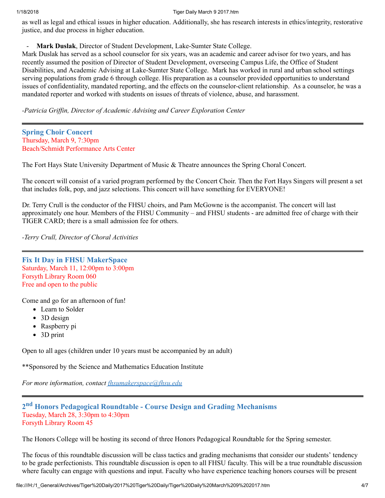#### 1/18/2018 Tiger Daily March 9 2017.htm

as well as legal and ethical issues in higher education. Additionally, she has research interests in ethics/integrity, restorative justice, and due process in higher education.

Mark Duslak, Director of Student Development, Lake-Sumter State College.

Mark Duslak has served as a school counselor for six years, was an academic and career advisor for two years, and has recently assumed the position of Director of Student Development, overseeing Campus Life, the Office of Student Disabilities, and Academic Advising at Lake-Sumter State College. Mark has worked in rural and urban school settings serving populations from grade 6 through college. His preparation as a counselor provided opportunities to understand issues of confidentiality, mandated reporting, and the effects on the counselor-client relationship. As a counselor, he was a mandated reporter and worked with students on issues of threats of violence, abuse, and harassment.

*-Patricia Grif in, Director of Academic Advising and Career Exploration Center*

<span id="page-4-0"></span>Spring Choir Concert Thursday, March 9, 7:30pm Beach/Schmidt Performance Arts Center

The Fort Hays State University Department of Music & Theatre announces the Spring Choral Concert.

The concert will consist of a varied program performed by the Concert Choir. Then the Fort Hays Singers will present a set that includes folk, pop, and jazz selections. This concert will have something for EVERYONE!

Dr. Terry Crull is the conductor of the FHSU choirs, and Pam McGowne is the accompanist. The concert will last approximately one hour. Members of the FHSU Community – and FHSU students - are admitted free of charge with their TIGER CARD; there is a small admission fee for others.

*-Terry Crull, Director of Choral Activities*

<span id="page-4-1"></span>Fix It Day in FHSU MakerSpace Saturday, March 11, 12:00pm to 3:00pm Forsyth Library Room 060 Free and open to the public

Come and go for an afternoon of fun!

- Learn to Solder
- 3D design
- Raspberry pi
- 3D print

Open to all ages (children under 10 years must be accompanied by an adult)

\*\*Sponsored by the Science and Mathematics Education Institute

*For more information, contact [fhsumakerspace@fhsu.edu](mailto:fhsumakerspace@fhsu.edu)*

## <span id="page-4-2"></span>2<sup>nd</sup> Honors Pedagogical Roundtable - Course Design and Grading Mechanisms Tuesday, March 28, 3:30pm to 4:30pm Forsyth Library Room 45

The Honors College will be hosting its second of three Honors Pedagogical Roundtable for the Spring semester.

The focus of this roundtable discussion will be class tactics and grading mechanisms that consider our students' tendency to be grade perfectionists. This roundtable discussion is open to all FHSU faculty. This will be a true roundtable discussion where faculty can engage with questions and input. Faculty who have experience teaching honors courses will be present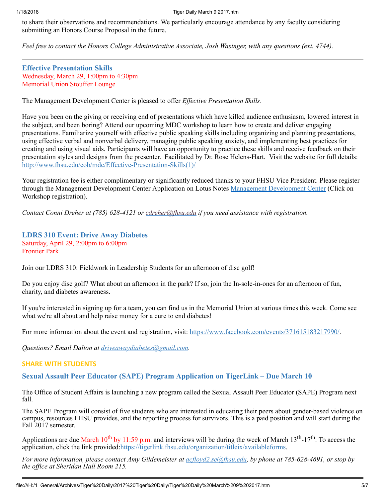to share their observations and recommendations. We particularly encourage attendance by any faculty considering submitting an Honors Course Proposal in the future.

*Feel free to contact the Honors College Administrative Associate, Josh Wasinger, with any questions (ext. 4744).*

<span id="page-5-0"></span>Effective Presentation Skills Wednesday, March 29, 1:00pm to 4:30pm Memorial Union Stouffer Lounge

The Management Development Center is pleased to offer *Effective Presentation Skills*.

Have you been on the giving or receiving end of presentations which have killed audience enthusiasm, lowered interest in the subject, and been boring? Attend our upcoming MDC workshop to learn how to create and deliver engaging presentations. Familiarize yourself with effective public speaking skills including organizing and planning presentations, using effective verbal and nonverbal delivery, managing public speaking anxiety, and implementing best practices for creating and using visual aids. Participants will have an opportunity to practice these skills and receive feedback on their presentation styles and designs from the presenter. Facilitated by Dr. Rose Helens-Hart. Visit the website for full details: [http://www.fhsu.edu/cob/mdc/Effective-Presentation-Skills\(1\)/](http://www.fhsu.edu/cob/mdc/Effective-Presentation-Skills(1)/)

Your registration fee is either complimentary or significantly reduced thanks to your FHSU Vice President. Please register through the Management Development Center Application on Lotus Notes Management [Development](notes://LNapps/8625781F005E73FF) Center (Click on Workshop registration).

*Contact Conni Dreher at (785) 628-4121 or [cdreher@fhsu.edu](mailto:cdreher@fhsu.edu) if you need assistance with registration.*

## <span id="page-5-1"></span>LDRS 310 Event: Drive Away Diabetes Saturday, April 29, 2:00pm to 6:00pm Frontier Park

Join our LDRS 310: Fieldwork in Leadership Students for an afternoon of disc golf!

Do you enjoy disc golf? What about an afternoon in the park? If so, join the In-sole-in-ones for an afternoon of fun, charity, and diabetes awareness.

If you're interested in signing up for a team, you can find us in the Memorial Union at various times this week. Come see what we're all about and help raise money for a cure to end diabetes!

For more information about the event and registration, visit: [https://www.facebook.com/events/371615183217990/.](https://www.facebook.com/events/371615183217990/)

*Questions? Email Dalton at [driveawaydiabetes@gmail.com.](mailto:driveawaydiabetes@gmail.com)*

## SHARE WITH STUDENTS

## <span id="page-5-2"></span>Sexual Assault Peer Educator (SAPE) Program Application on TigerLink – Due March 10

The Office of Student Affairs is launching a new program called the Sexual Assault Peer Educator (SAPE) Program next fall.

The SAPE Program will consist of five students who are interested in educating their peers about gender-based violence on campus, resources FHSU provides, and the reporting process for survivors. This is a paid position and will start during the Fall 2017 semester.

Applications are due March  $10^{th}$  by 11:59 p.m. and interviews will be during the week of March  $13^{th}$ -17<sup>th</sup>. To access the application, click the link provided: [https://tigerlink.fhsu.edu/organization/titleix/availableforms.](https://tigerlink.fhsu.edu/organization/titleix/availableforms)

For more information, please contact Amy Gildemeister at  $\alpha$  dovd2.se@fhsu.edu, by phone at 785-628-4691, or stop by *the of ice at Sheridan Hall Room 215.*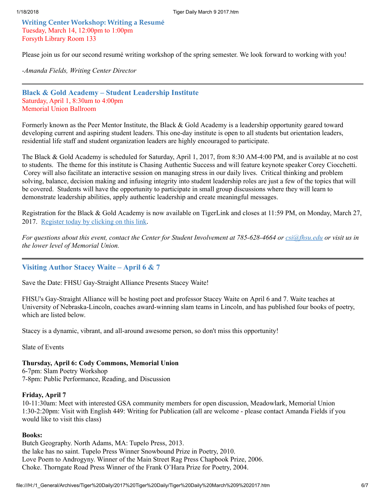<span id="page-6-0"></span>Writing Center Workshop: Writing a Resumé Tuesday, March 14, 12:00pm to 1:00pm Forsyth Library Room 133

Please join us for our second resumé writing workshop of the spring semester. We look forward to working with you!

*-Amanda Fields, Writing Center Director*

<span id="page-6-1"></span>Black & Gold Academy – Student Leadership Institute Saturday, April 1, 8:30am to 4:00pm Memorial Union Ballroom

Formerly known as the Peer Mentor Institute, the Black & Gold Academy is a leadership opportunity geared toward developing current and aspiring student leaders. This one-day institute is open to all students but orientation leaders, residential life staff and student organization leaders are highly encouraged to participate.

The Black & Gold Academy is scheduled for Saturday, April 1, 2017, from 8:30 AM-4:00 PM, and is available at no cost to students. The theme for this institute is Chasing Authentic Success and will feature keynote speaker Corey Ciocchetti. Corey will also facilitate an interactive session on managing stress in our daily lives. Critical thinking and problem solving, balance, decision making and infusing integrity into student leadership roles are just a few of the topics that will be covered. Students will have the opportunity to participate in small group discussions where they will learn to demonstrate leadership abilities, apply authentic leadership and create meaningful messages.

Registration for the Black & Gold Academy is now available on TigerLink and closes at 11:59 PM, on Monday, March 27, 2017. [Register](https://tigerlink.fhsu.edu/form/start/90795) today by clicking on this link.

For questions about this event, contact the Center for Student Involvement at 785-628-4664 or [csi@fhsu.edu](mailto:csi@fhsu.edu) or visit us in *the lower level of Memorial Union.*

## <span id="page-6-2"></span>Visiting Author Stacey Waite – April 6 & 7

Save the Date: FHSU Gay-Straight Alliance Presents Stacey Waite!

FHSU's Gay-Straight Alliance will be hosting poet and professor Stacey Waite on April 6 and 7. Waite teaches at University of Nebraska-Lincoln, coaches award-winning slam teams in Lincoln, and has published four books of poetry, which are listed below.

Stacey is a dynamic, vibrant, and all-around awesome person, so don't miss this opportunity!

Slate of Events

#### Thursday, April 6: Cody Commons, Memorial Union

6-7pm: Slam Poetry Workshop 7-8pm: Public Performance, Reading, and Discussion

#### Friday, April 7

10-11:30am: Meet with interested GSA community members for open discussion, Meadowlark, Memorial Union 1:30-2:20pm: Visit with English 449: Writing for Publication (all are welcome - please contact Amanda Fields if you would like to visit this class)

## Books:

Butch Geography. North Adams, MA: Tupelo Press, 2013. the lake has no saint. Tupelo Press Winner Snowbound Prize in Poetry, 2010. Love Poem to Androgyny. Winner of the Main Street Rag Press Chapbook Prize, 2006. Choke. Thorngate Road Press Winner of the Frank O'Hara Prize for Poetry, 2004.